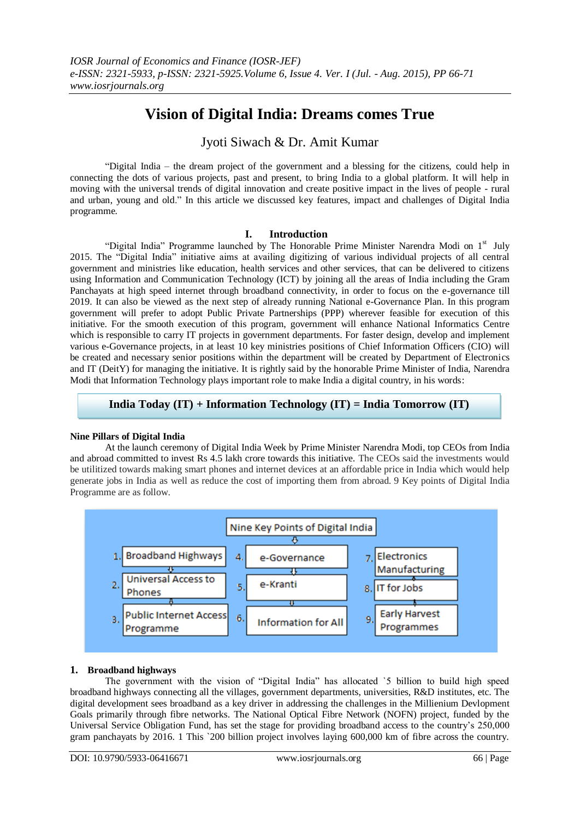# **Vision of Digital India: Dreams comes True**

## Jyoti Siwach & Dr. Amit Kumar

"Digital India – the dream project of the government and a blessing for the citizens, could help in connecting the dots of various projects, past and present, to bring India to a global platform. It will help in moving with the universal trends of digital innovation and create positive impact in the lives of people - rural and urban, young and old." In this article we discussed key features, impact and challenges of Digital India programme.

## **I. Introduction**

"Digital India" Programme launched by The Honorable Prime Minister Narendra Modi on  $1<sup>st</sup>$  July 2015. The "Digital India" initiative aims at availing digitizing of various individual projects of all central government and ministries like education, health services and other services, that can be delivered to citizens using Information and Communication Technology (ICT) by joining all the areas of India including the Gram Panchayats at high speed internet through broadband connectivity, in order to focus on the e-governance till 2019. It can also be viewed as the next step of already running National e-Governance Plan. In this program government will prefer to adopt Public Private Partnerships (PPP) wherever feasible for execution of this initiative. For the smooth execution of this program, government will enhance National Informatics Centre which is responsible to carry IT projects in government departments. For faster design, develop and implement various e-Governance projects, in at least 10 key ministries positions of Chief Information Officers (CIO) will be created and necessary senior positions within the department will be created by Department of Electronics and IT (DeitY) for managing the initiative. It is rightly said by the honorable Prime Minister of India, Narendra Modi that Information Technology plays important role to make India a digital country, in his words:

## **India Today (IT) + Information Technology (IT) = India Tomorrow (IT)**

## **Nine Pillars of Digital India**

At the launch ceremony of Digital India Week by Prime Minister [Narendra Modi,](https://en.wikipedia.org/wiki/Narendra_Modi) top CEOs from India and abroad committed to invest Rs 4.5 lakh crore towards this initiative. The CEOs said the investments would be utilitized towards making smart phones and internet devices at an affordable price in India which would help generate jobs in India as well as reduce the cost of importing them from abroad. 9 Key points of Digital India Programme are as follow.



## **1. Broadband highways**

The government with the vision of "Digital India" has allocated `5 billion to build high speed broadband highways connecting all the villages, government departments, universities, R&D institutes, etc. The digital development sees broadband as a key driver in addressing the challenges in the Millienium Devlopment Goals primarily through fibre networks. The National Optical Fibre Network (NOFN) project, funded by the Universal Service Obligation Fund, has set the stage for providing broadband access to the country's 250,000 gram panchayats by 2016. 1 This `200 billion project involves laying 600,000 km of fibre across the country.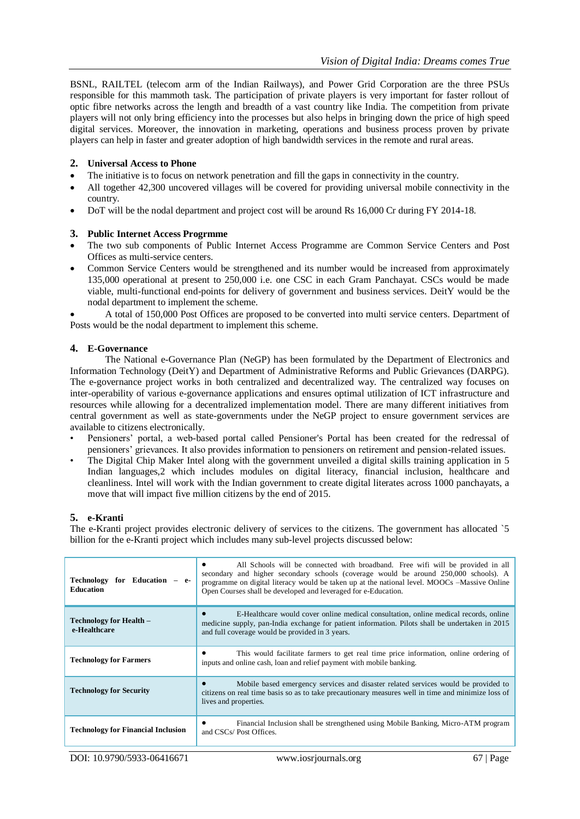BSNL, RAILTEL (telecom arm of the Indian Railways), and Power Grid Corporation are the three PSUs responsible for this mammoth task. The participation of private players is very important for faster rollout of optic fibre networks across the length and breadth of a vast country like India. The competition from private players will not only bring efficiency into the processes but also helps in bringing down the price of high speed digital services. Moreover, the innovation in marketing, operations and business process proven by private players can help in faster and greater adoption of high bandwidth services in the remote and rural areas.

#### **2. Universal Access to Phone**

- The initiative is to focus on network penetration and fill the gaps in connectivity in the country.
- All together 42,300 uncovered villages will be covered for providing universal mobile connectivity in the country.
- DoT will be the nodal department and project cost will be around Rs 16,000 Cr during FY 2014-18.

#### **3. Public Internet Access Progrmme**

- The two sub components of Public Internet Access Programme are Common Service Centers and Post Offices as multi-service centers.
- Common Service Centers would be strengthened and its number would be increased from approximately 135,000 operational at present to 250,000 i.e. one CSC in each Gram Panchayat. CSCs would be made viable, multi-functional end-points for delivery of government and business services. DeitY would be the nodal department to implement the scheme.

 A total of 150,000 Post Offices are proposed to be converted into multi service centers. Department of Posts would be the nodal department to implement this scheme.

#### **4. E-Governance**

The National e-Governance Plan (NeGP) has been formulated by the Department of Electronics and Information Technology (DeitY) and Department of Administrative Reforms and Public Grievances (DARPG). The e-governance project works in both centralized and decentralized way. The centralized way focuses on inter-operability of various e-governance applications and ensures optimal utilization of ICT infrastructure and resources while allowing for a decentralized implementation model. There are many different initiatives from central government as well as state-governments under the NeGP project to ensure government services are available to citizens electronically.

- Pensioners' portal, a web-based portal called Pensioner's Portal has been created for the redressal of pensioners' grievances. It also provides information to pensioners on retirement and pension-related issues.
- The Digital Chip Maker Intel along with the government unveiled a digital skills training application in 5 Indian languages,2 which includes modules on digital literacy, financial inclusion, healthcare and cleanliness. Intel will work with the Indian government to create digital literates across 1000 panchayats, a move that will impact five million citizens by the end of 2015.

## **5. e-Kranti**

The e-Kranti project provides electronic delivery of services to the citizens. The government has allocated `5 billion for the e-Kranti project which includes many sub-level projects discussed below:

| Technology for Education<br><b>Education</b> | All Schools will be connected with broadband. Free wifi will be provided in all<br>secondary and higher secondary schools (coverage would be around 250,000 schools). A<br>programme on digital literacy would be taken up at the national level. MOOCs –Massive Online<br>Open Courses shall be developed and leveraged for e-Education. |
|----------------------------------------------|-------------------------------------------------------------------------------------------------------------------------------------------------------------------------------------------------------------------------------------------------------------------------------------------------------------------------------------------|
| Technology for Health –<br>e-Healthcare      | E-Healthcare would cover online medical consultation, online medical records, online<br>medicine supply, pan-India exchange for patient information. Pilots shall be undertaken in 2015<br>and full coverage would be provided in 3 years.                                                                                                |
| <b>Technology for Farmers</b>                | This would facilitate farmers to get real time price information, online ordering of<br>inputs and online cash, loan and relief payment with mobile banking.                                                                                                                                                                              |
| <b>Technology for Security</b>               | Mobile based emergency services and disaster related services would be provided to<br>citizens on real time basis so as to take precautionary measures well in time and minimize loss of<br>lives and properties.                                                                                                                         |
| <b>Technology for Financial Inclusion</b>    | Financial Inclusion shall be strengthened using Mobile Banking, Micro-ATM program<br>and CSCs/Post Offices.                                                                                                                                                                                                                               |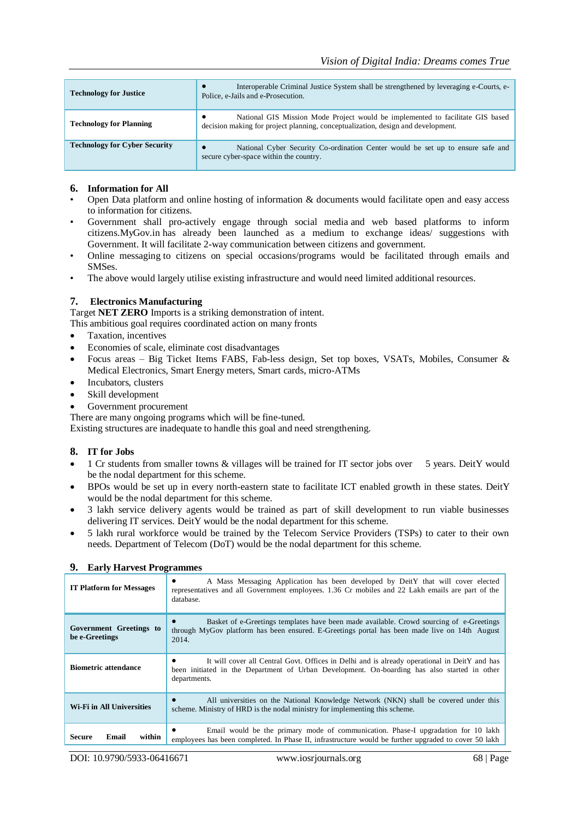| <b>Technology for Justice</b>        | Interoperable Criminal Justice System shall be strengthened by leveraging e-Courts, e-<br>Police, e-Jails and e-Prosecution.                                            |
|--------------------------------------|-------------------------------------------------------------------------------------------------------------------------------------------------------------------------|
| <b>Technology for Planning</b>       | National GIS Mission Mode Project would be implemented to facilitate GIS based<br>٠<br>decision making for project planning, conceptualization, design and development. |
| <b>Technology for Cyber Security</b> | National Cyber Security Co-ordination Center would be set up to ensure safe and<br>$\bullet$<br>secure cyber-space within the country.                                  |

#### **6. Information for All**

- Open Data platform and online hosting of information & documents would facilitate open and easy access to information for citizens.
- Government shall pro-actively engage through social media and web based platforms to inform citizens.MyGov.in has already been launched as a medium to exchange ideas/ suggestions with Government. It will facilitate 2-way communication between citizens and government.
- Online messaging to citizens on special occasions/programs would be facilitated through emails and SMSes.
- The above would largely utilise existing infrastructure and would need limited additional resources.

#### **7. Electronics Manufacturing**

Target **NET ZERO** Imports is a striking demonstration of intent.

This ambitious goal requires coordinated action on many fronts

- Taxation, incentives
- Economies of scale, eliminate cost disadvantages
- Focus areas Big Ticket Items FABS, Fab-less design, Set top boxes, VSATs, Mobiles, Consumer & Medical Electronics, Smart Energy meters, Smart cards, micro-ATMs
- Incubators, clusters
- Skill development
- Government procurement

There are many ongoing programs which will be fine-tuned.

Existing structures are inadequate to handle this goal and need strengthening.

#### **8. IT for Jobs**

- 1 Cr students from smaller towns & villages will be trained for IT sector jobs over 5 years. DeitY would be the nodal department for this scheme.
- BPOs would be set up in every north-eastern state to facilitate ICT enabled growth in these states. DeitY would be the nodal department for this scheme.
- 3 lakh service delivery agents would be trained as part of skill development to run viable businesses delivering IT services. DeitY would be the nodal department for this scheme.
- 5 lakh rural workforce would be trained by the Telecom Service Providers (TSPs) to cater to their own needs. Department of Telecom (DoT) would be the nodal department for this scheme.

| <b>IT Platform for Messages</b>           | A Mass Messaging Application has been developed by DeitY that will cover elected<br>$\bullet$<br>representatives and all Government employees. 1.36 Cr mobiles and 22 Lakh emails are part of the<br>database.    |
|-------------------------------------------|-------------------------------------------------------------------------------------------------------------------------------------------------------------------------------------------------------------------|
| Government Greetings to<br>be e-Greetings | Basket of e-Greetings templates have been made available. Crowd sourcing of e-Greetings<br>through MyGov platform has been ensured. E-Greetings portal has been made live on 14th August<br>2014.                 |
| <b>Biometric attendance</b>               | It will cover all Central Govt. Offices in Delhi and is already operational in DeitY and has<br>٠<br>been initiated in the Department of Urban Development. On-boarding has also started in other<br>departments. |
| Wi-Fi in All Universities                 | All universities on the National Knowledge Network (NKN) shall be covered under this<br>$\bullet$<br>scheme. Ministry of HRD is the nodal ministry for implementing this scheme.                                  |
| within<br><b>Secure</b><br>Email          | Email would be the primary mode of communication. Phase-I upgradation for 10 lakh<br>employees has been completed. In Phase II, infrastructure would be further upgraded to cover 50 lakh                         |

## **9. Early Harvest Programmes**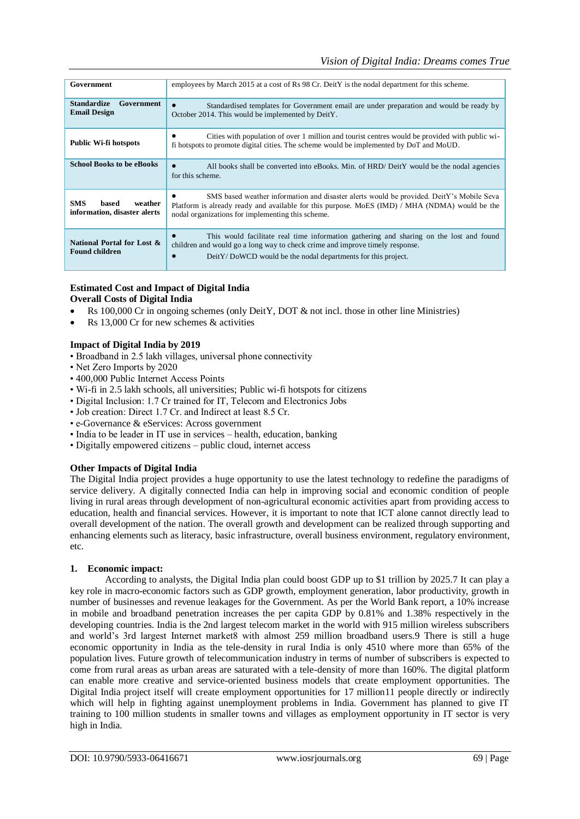| Government                                                     | employees by March 2015 at a cost of Rs 98 Cr. DeitY is the nodal department for this scheme.                                                                                                                                                        |
|----------------------------------------------------------------|------------------------------------------------------------------------------------------------------------------------------------------------------------------------------------------------------------------------------------------------------|
| <b>Standardize</b><br>Government<br><b>Email Design</b>        | Standardised templates for Government email are under preparation and would be ready by<br>$\bullet$<br>October 2014. This would be implemented by DeitY.                                                                                            |
| <b>Public Wi-fi hotspots</b>                                   | Cities with population of over 1 million and tourist centres would be provided with public wi-<br>٠<br>fi hotspots to promote digital cities. The scheme would be implemented by DoT and MoUD.                                                       |
| <b>School Books to be eBooks</b>                               | All books shall be converted into eBooks. Min. of HRD/ DeitY would be the nodal agencies<br>$\bullet$<br>for this scheme.                                                                                                                            |
| <b>SMS</b><br>weather<br>hased<br>information, disaster alerts | SMS based weather information and disaster alerts would be provided. DeitY's Mobile Seva<br>٠<br>Platform is already ready and available for this purpose. MoES (IMD) / MHA (NDMA) would be the<br>nodal organizations for implementing this scheme. |
| National Portal for Lost &<br><b>Found children</b>            | This would facilitate real time information gathering and sharing on the lost and found<br>children and would go a long way to check crime and improve timely response.<br>DeitY/DoWCD would be the nodal departments for this project.<br>$\bullet$ |

#### **Estimated Cost and Impact of Digital India Overall Costs of Digital India**

- Rs 100,000 Cr in ongoing schemes (only DeitY, DOT & not incl. those in other line Ministries)
- Rs 13,000 Cr for new schemes & activities

## **Impact of Digital India by 2019**

- Broadband in 2.5 lakh villages, universal phone connectivity
- Net Zero Imports by 2020
- 400,000 Public Internet Access Points
- Wi-fi in 2.5 lakh schools, all universities; Public wi-fi hotspots for citizens
- Digital Inclusion: 1.7 Cr trained for IT, Telecom and Electronics Jobs
- Job creation: Direct 1.7 Cr. and Indirect at least 8.5 Cr.
- e-Governance & eServices: Across government
- India to be leader in IT use in services health, education, banking
- Digitally empowered citizens public cloud, internet access

## **Other Impacts of Digital India**

The Digital India project provides a huge opportunity to use the latest technology to redefine the paradigms of service delivery. A digitally connected India can help in improving social and economic condition of people living in rural areas through development of non-agricultural economic activities apart from providing access to education, health and financial services. However, it is important to note that ICT alone cannot directly lead to overall development of the nation. The overall growth and development can be realized through supporting and enhancing elements such as literacy, basic infrastructure, overall business environment, regulatory environment, etc.

## **1. Economic impact:**

According to analysts, the Digital India plan could boost GDP up to \$1 trillion by 2025.7 It can play a key role in macro-economic factors such as GDP growth, employment generation, labor productivity, growth in number of businesses and revenue leakages for the Government. As per the World Bank report, a 10% increase in mobile and broadband penetration increases the per capita GDP by 0.81% and 1.38% respectively in the developing countries. India is the 2nd largest telecom market in the world with 915 million wireless subscribers and world's 3rd largest Internet market8 with almost 259 million broadband users.9 There is still a huge economic opportunity in India as the tele-density in rural India is only 4510 where more than 65% of the population lives. Future growth of telecommunication industry in terms of number of subscribers is expected to come from rural areas as urban areas are saturated with a tele-density of more than 160%. The digital platform can enable more creative and service-oriented business models that create employment opportunities. The Digital India project itself will create employment opportunities for 17 million11 people directly or indirectly which will help in fighting against unemployment problems in India. Government has planned to give IT training to 100 million students in smaller towns and villages as employment opportunity in IT sector is very high in India.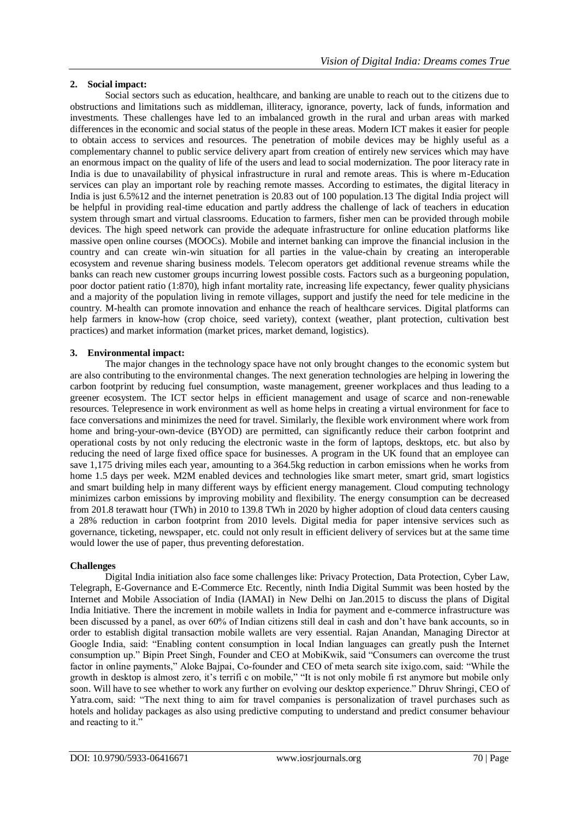## **2. Social impact:**

Social sectors such as education, healthcare, and banking are unable to reach out to the citizens due to obstructions and limitations such as middleman, illiteracy, ignorance, poverty, lack of funds, information and investments. These challenges have led to an imbalanced growth in the rural and urban areas with marked differences in the economic and social status of the people in these areas. Modern ICT makes it easier for people to obtain access to services and resources. The penetration of mobile devices may be highly useful as a complementary channel to public service delivery apart from creation of entirely new services which may have an enormous impact on the quality of life of the users and lead to social modernization. The poor literacy rate in India is due to unavailability of physical infrastructure in rural and remote areas. This is where m-Education services can play an important role by reaching remote masses. According to estimates, the digital literacy in India is just 6.5%12 and the internet penetration is 20.83 out of 100 population.13 The digital India project will be helpful in providing real-time education and partly address the challenge of lack of teachers in education system through smart and virtual classrooms. Education to farmers, fisher men can be provided through mobile devices. The high speed network can provide the adequate infrastructure for online education platforms like massive open online courses (MOOCs). Mobile and internet banking can improve the financial inclusion in the country and can create win-win situation for all parties in the value-chain by creating an interoperable ecosystem and revenue sharing business models. Telecom operators get additional revenue streams while the banks can reach new customer groups incurring lowest possible costs. Factors such as a burgeoning population, poor doctor patient ratio (1:870), high infant mortality rate, increasing life expectancy, fewer quality physicians and a majority of the population living in remote villages, support and justify the need for tele medicine in the country. M-health can promote innovation and enhance the reach of healthcare services. Digital platforms can help farmers in know-how (crop choice, seed variety), context (weather, plant protection, cultivation best practices) and market information (market prices, market demand, logistics).

## **3. Environmental impact:**

The major changes in the technology space have not only brought changes to the economic system but are also contributing to the environmental changes. The next generation technologies are helping in lowering the carbon footprint by reducing fuel consumption, waste management, greener workplaces and thus leading to a greener ecosystem. The ICT sector helps in efficient management and usage of scarce and non-renewable resources. Telepresence in work environment as well as home helps in creating a virtual environment for face to face conversations and minimizes the need for travel. Similarly, the flexible work environment where work from home and bring-your-own-device (BYOD) are permitted, can significantly reduce their carbon footprint and operational costs by not only reducing the electronic waste in the form of laptops, desktops, etc. but also by reducing the need of large fixed office space for businesses. A program in the UK found that an employee can save 1,175 driving miles each year, amounting to a 364.5kg reduction in carbon emissions when he works from home 1.5 days per week. M2M enabled devices and technologies like smart meter, smart grid, smart logistics and smart building help in many different ways by efficient energy management. Cloud computing technology minimizes carbon emissions by improving mobility and flexibility. The energy consumption can be decreased from 201.8 terawatt hour (TWh) in 2010 to 139.8 TWh in 2020 by higher adoption of cloud data centers causing a 28% reduction in carbon footprint from 2010 levels. Digital media for paper intensive services such as governance, ticketing, newspaper, etc. could not only result in efficient delivery of services but at the same time would lower the use of paper, thus preventing deforestation.

## **Challenges**

Digital India initiation also face some challenges like: Privacy Protection, Data Protection, Cyber Law, Telegraph, E-Governance and E-Commerce Etc. Recently, ninth India Digital Summit was been hosted by the Internet and Mobile Association of India (IAMAI) in New Delhi on Jan.2015 to discuss the plans of Digital India Initiative. There the increment in mobile wallets in India for payment and e-commerce infrastructure was been discussed by a panel, as over 60% of Indian citizens still deal in cash and don't have bank accounts, so in order to establish digital transaction mobile wallets are very essential. Rajan Anandan, Managing Director at Google India, said: "Enabling content consumption in local Indian languages can greatly push the Internet consumption up." Bipin Preet Singh, Founder and CEO at MobiKwik, said "Consumers can overcome the trust factor in online payments," Aloke Bajpai, Co-founder and CEO of meta search site ixigo.com, said: "While the growth in desktop is almost zero, it's terrifi c on mobile," "It is not only mobile fi rst anymore but mobile only soon. Will have to see whether to work any further on evolving our desktop experience." Dhruv Shringi, CEO of Yatra.com, said: "The next thing to aim for travel companies is personalization of travel purchases such as hotels and holiday packages as also using predictive computing to understand and predict consumer behaviour and reacting to it."